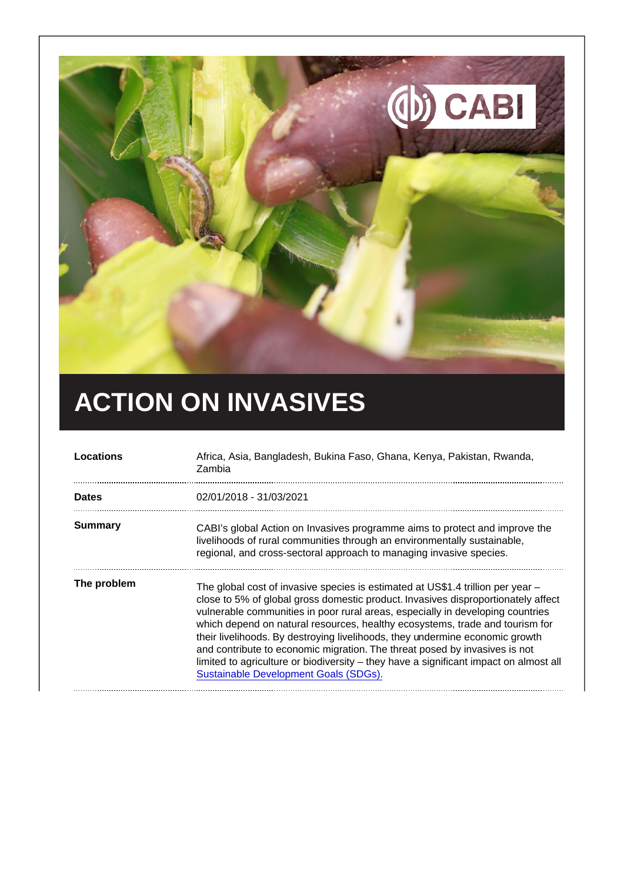# ACTION ON INVASIVES

| Locations   | Africa, Asia, Bangladesh, Bukina Faso, Ghana, Kenya, Pakistan, Rwanda,<br>Zambia                                                                                                                                                                                                                                                                                                                                                                                                                                                                                                                                                       |
|-------------|----------------------------------------------------------------------------------------------------------------------------------------------------------------------------------------------------------------------------------------------------------------------------------------------------------------------------------------------------------------------------------------------------------------------------------------------------------------------------------------------------------------------------------------------------------------------------------------------------------------------------------------|
| Dates       | 02/01/2018 - 31/03/2021                                                                                                                                                                                                                                                                                                                                                                                                                                                                                                                                                                                                                |
| Summary     | CABI's global Action on Invasives programme aims to protect and improve the<br>livelihoods of rural communities through an environmentally sustainable,<br>regional, and cross-sectoral approach to managing invasive species.                                                                                                                                                                                                                                                                                                                                                                                                         |
| The problem | The global cost of invasive species is estimated at US\$1.4 trillion per year -<br>close to 5% of global gross domestic product. Invasives disproportionately affect<br>vulnerable communities in poor rural areas, especially in developing countries<br>which depend on natural resources, healthy ecosystems, trade and tourism for<br>their livelihoods. By destroying livelihoods, they undermine economic growth<br>and contribute to economic migration. The threat posed by invasives is not<br>limited to agriculture or biodiversity – they have a significant impact on almost all<br>Sustainable Development Goals (SDGs). |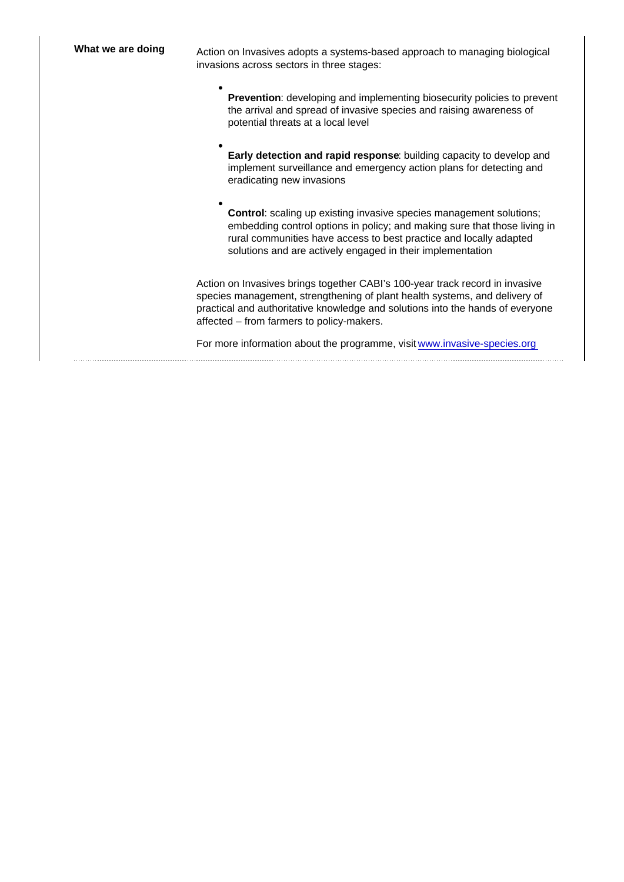What we are doing exaction on Invasives adopts a systems-based approach to managing biological invasions across sectors in three stages:

- Prevention : developing and implementing biosecurity policies to prevent the arrival and spread of invasive species and raising awareness of potential threats at a local level
- Early detection and rapid response : building capacity to develop and implement surveillance and emergency action plans for detecting and eradicating new invasions

Control : scaling up existing invasive species management solutions; embedding control options in policy; and making sure that those living in rural communities have access to best practice and locally adapted solutions and are actively engaged in their implementation

Action on Invasives brings together CABI's 100-year track record in invasive species management, strengthening of plant health systems, and delivery of practical and authoritative knowledge and solutions into the hands of everyone affected – from farmers to policy-makers.

For more information about the programme, visit [www.invasive-species.org](https://www.invasive-species.org/)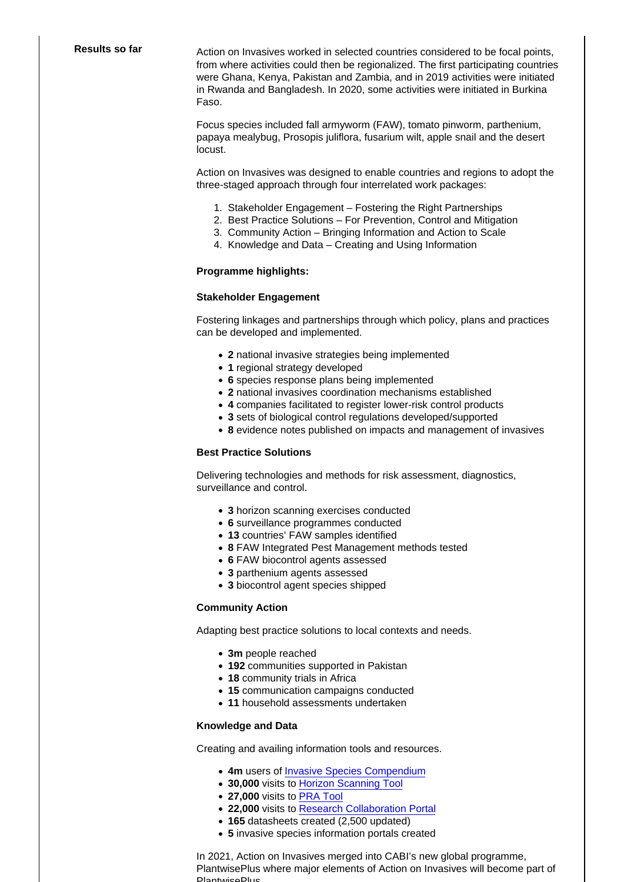Results so far **Action on Invasives worked in selected countries considered to be focal points,** from where activities could then be regionalized. The first participating countries were Ghana, Kenya, Pakistan and Zambia, and in 2019 activities were initiated in Rwanda and Bangladesh. In 2020, some activities were initiated in Burkina Faso.

> Focus species included fall armyworm (FAW), tomato pinworm, parthenium, papaya mealybug, Prosopis juliflora, fusarium wilt, apple snail and the desert locust.

Action on Invasives was designed to enable countries and regions to adopt the three-staged approach through four interrelated work packages:

- 1. Stakeholder Engagement Fostering the Right Partnerships
- 2. Best Practice Solutions For Prevention, Control and Mitigation
- 3. Community Action Bringing Information and Action to Scale
- 4. Knowledge and Data Creating and Using Information

Programme highlights:

#### Stakeholder Engagement

Fostering linkages and partnerships through which policy, plans and practices can be developed and implemented.

- 2 national invasive strategies being implemented
- 1 regional strategy developed
- 6 species response plans being implemented
- 2 national invasives coordination mechanisms established
- 4 companies facilitated to register lower-risk control products
- 3 sets of biological control regulations developed/supported
- 8 evidence notes published on impacts and management of invasives

#### Best Practice Solutions

Delivering technologies and methods for risk assessment, diagnostics, surveillance and control.

- 3 horizon scanning exercises conducted
- 6 surveillance programmes conducted
- 13 countries' FAW samples identified
- 8 FAW Integrated Pest Management methods tested
- 6 FAW biocontrol agents assessed
- 3 parthenium agents assessed
- 3 biocontrol agent species shipped

## Community Action

Adapting best practice solutions to local contexts and needs.

- 3m people reached
- 192 communities supported in Pakistan
- 18 community trials in Africa
- 15 communication campaigns conducted
- 11 household assessments undertaken

### Knowledge and Data

Creating and availing information tools and resources.

- 4m users of [Invasive Species Compendium](https://www.cabi.org/isc/)
- 30,000 visits to [Horizon Scanning Tool](https://www.cabi.org/HorizonScanningTool)
- 27,000 visits to [PRA Tool](https://www.cabi.org/publishing-products/pest-risk-analysis-tool/)
- 22,000 visits to [Research Collaboration Portal](https://faw.researchcollaborationportal.org/)
- 165 datasheets created (2,500 updated)
- 5 invasive species information portals created

In 2021, Action on Invasives merged into CABI's new global programme, PlantwisePlus where major elements of Action on Invasives will become part of PlantwisePlus.